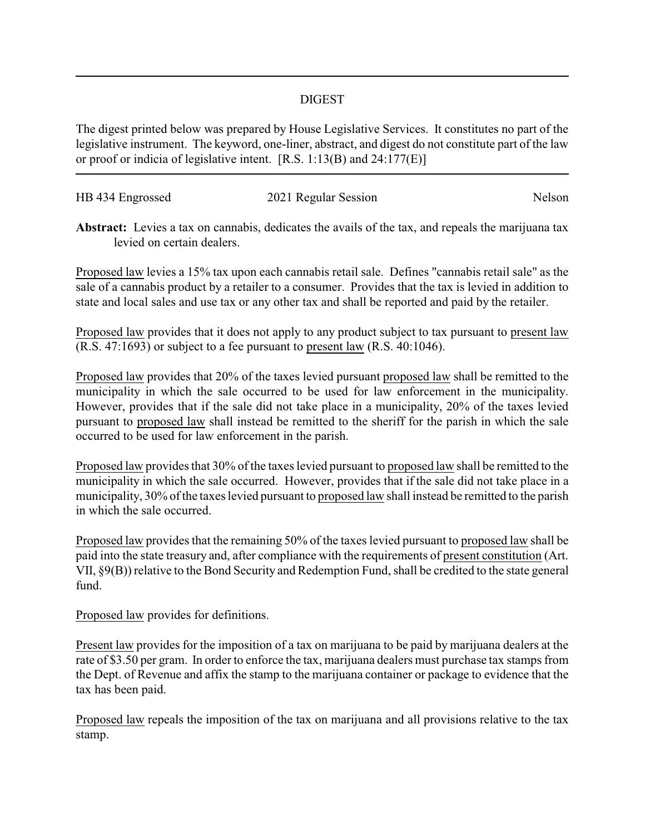## DIGEST

The digest printed below was prepared by House Legislative Services. It constitutes no part of the legislative instrument. The keyword, one-liner, abstract, and digest do not constitute part of the law or proof or indicia of legislative intent. [R.S. 1:13(B) and 24:177(E)]

| HB 434 Engrossed | 2021 Regular Session | Nelson |
|------------------|----------------------|--------|
|                  |                      |        |

**Abstract:** Levies a tax on cannabis, dedicates the avails of the tax, and repeals the marijuana tax levied on certain dealers.

Proposed law levies a 15% tax upon each cannabis retail sale. Defines "cannabis retail sale" as the sale of a cannabis product by a retailer to a consumer. Provides that the tax is levied in addition to state and local sales and use tax or any other tax and shall be reported and paid by the retailer.

Proposed law provides that it does not apply to any product subject to tax pursuant to present law (R.S. 47:1693) or subject to a fee pursuant to present law (R.S. 40:1046).

Proposed law provides that 20% of the taxes levied pursuant proposed law shall be remitted to the municipality in which the sale occurred to be used for law enforcement in the municipality. However, provides that if the sale did not take place in a municipality, 20% of the taxes levied pursuant to proposed law shall instead be remitted to the sheriff for the parish in which the sale occurred to be used for law enforcement in the parish.

Proposed law provides that 30% of the taxes levied pursuant to proposed law shall be remitted to the municipality in which the sale occurred. However, provides that if the sale did not take place in a municipality, 30% of the taxes levied pursuant to proposed law shall instead be remitted to the parish in which the sale occurred.

Proposed law provides that the remaining 50% of the taxes levied pursuant to proposed law shall be paid into the state treasury and, after compliance with the requirements of present constitution (Art. VII, §9(B)) relative to the Bond Security and Redemption Fund, shall be credited to the state general fund.

Proposed law provides for definitions.

Present law provides for the imposition of a tax on marijuana to be paid by marijuana dealers at the rate of \$3.50 per gram. In order to enforce the tax, marijuana dealers must purchase tax stamps from the Dept. of Revenue and affix the stamp to the marijuana container or package to evidence that the tax has been paid.

Proposed law repeals the imposition of the tax on marijuana and all provisions relative to the tax stamp.